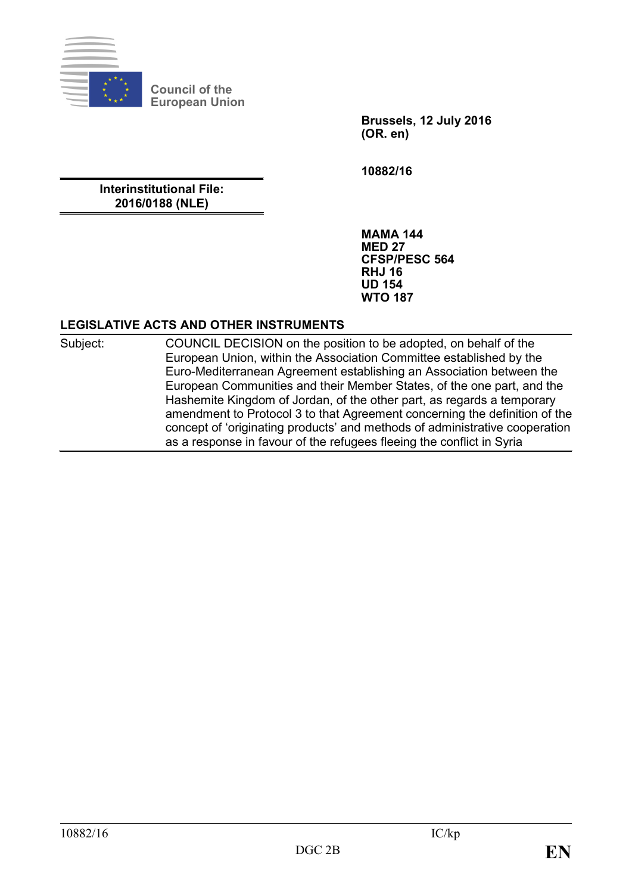

**Council of the European Union**

> **Brussels, 12 July 2016 (OR. en)**

**10882/16**

**Interinstitutional File: 2016/0188 (NLE)**

> **MAMA 144 MED 27 CFSP/PESC 564 RHJ 16 UD 154 WTO 187**

### **LEGISLATIVE ACTS AND OTHER INSTRUMENTS**

Subject: COUNCIL DECISION on the position to be adopted, on behalf of the European Union, within the Association Committee established by the Euro-Mediterranean Agreement establishing an Association between the European Communities and their Member States, of the one part, and the Hashemite Kingdom of Jordan, of the other part, as regards a temporary amendment to Protocol 3 to that Agreement concerning the definition of the concept of 'originating products' and methods of administrative cooperation as a response in favour of the refugees fleeing the conflict in Syria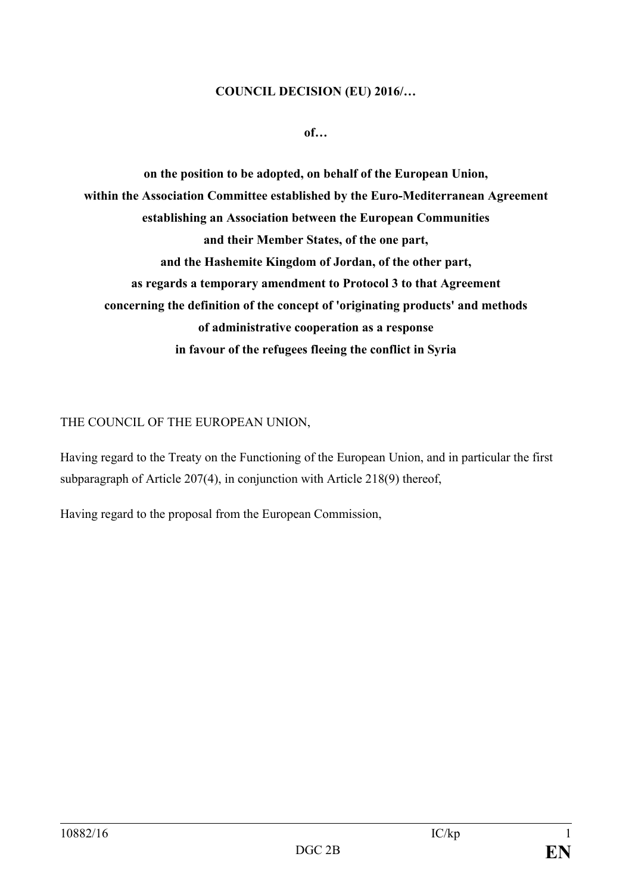### **COUNCIL DECISION (EU) 2016/…**

**of…**

**on the position to be adopted, on behalf of the European Union, within the Association Committee established by the Euro-Mediterranean Agreement establishing an Association between the European Communities and their Member States, of the one part, and the Hashemite Kingdom of Jordan, of the other part, as regards a temporary amendment to Protocol 3 to that Agreement concerning the definition of the concept of 'originating products' and methods of administrative cooperation as a response in favour of the refugees fleeing the conflict in Syria**

## THE COUNCIL OF THE EUROPEAN UNION,

Having regard to the Treaty on the Functioning of the European Union, and in particular the first subparagraph of Article 207(4), in conjunction with Article 218(9) thereof,

Having regard to the proposal from the European Commission,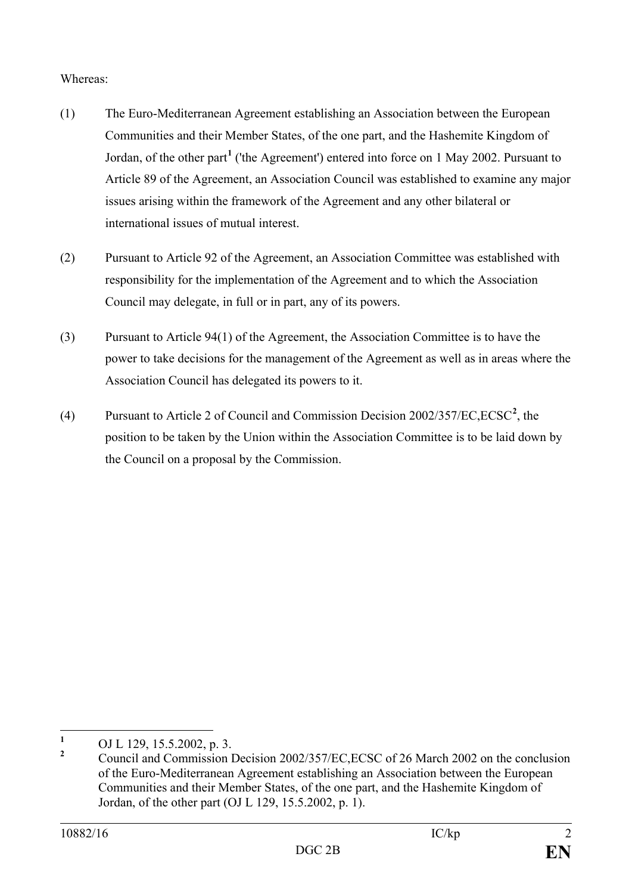## Whereas:

- (1) The Euro-Mediterranean Agreement establishing an Association between the European Communities and their Member States, of the one part, and the Hashemite Kingdom of Jordan, of the other part**[1](#page-2-0)** ('the Agreement') entered into force on 1 May 2002. Pursuant to Article 89 of the Agreement, an Association Council was established to examine any major issues arising within the framework of the Agreement and any other bilateral or international issues of mutual interest.
- (2) Pursuant to Article 92 of the Agreement, an Association Committee was established with responsibility for the implementation of the Agreement and to which the Association Council may delegate, in full or in part, any of its powers.
- (3) Pursuant to Article 94(1) of the Agreement, the Association Committee is to have the power to take decisions for the management of the Agreement as well as in areas where the Association Council has delegated its powers to it.
- (4) Pursuant to Article 2 of Council and Commission Decision 2002/357/EC,ECSC**[2](#page-2-1)** , the position to be taken by the Union within the Association Committee is to be laid down by the Council on a proposal by the Commission.

<span id="page-2-1"></span><span id="page-2-0"></span>

<sup>&</sup>lt;sup>1</sup> OJ L 129, 15.5.2002, p. 3.<br><sup>2</sup> Council and Commission Decision 2002/357/EC,ECSC of 26 March 2002 on the conclusion of the Euro-Mediterranean Agreement establishing an Association between the European Communities and their Member States, of the one part, and the Hashemite Kingdom of Jordan, of the other part (OJ L 129, 15.5.2002, p. 1).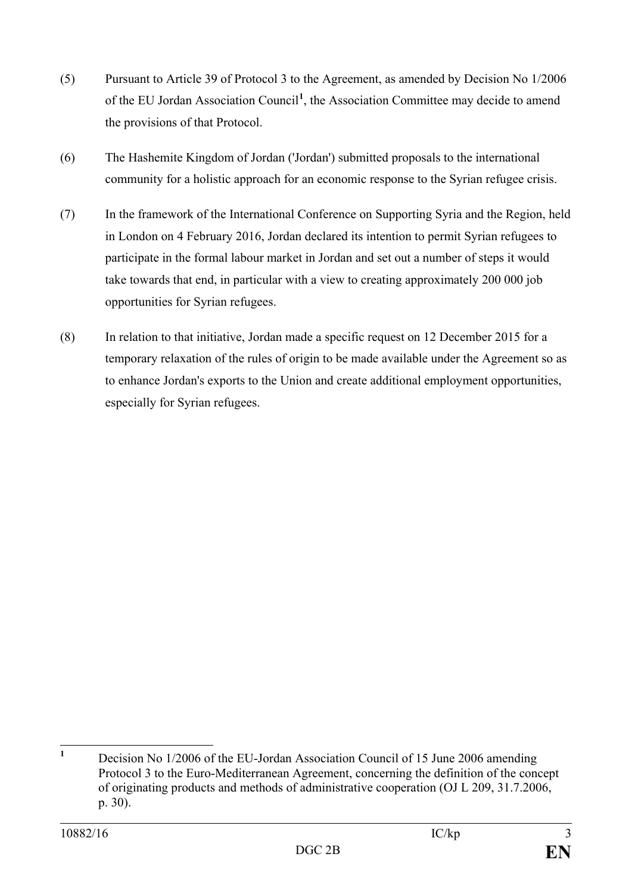- (5) Pursuant to Article 39 of Protocol 3 to the Agreement, as amended by Decision No 1/2006 of the EU Jordan Association Council**[1](#page-3-0)** , the Association Committee may decide to amend the provisions of that Protocol.
- (6) The Hashemite Kingdom of Jordan ('Jordan') submitted proposals to the international community for a holistic approach for an economic response to the Syrian refugee crisis.
- (7) In the framework of the International Conference on Supporting Syria and the Region, held in London on 4 February 2016, Jordan declared its intention to permit Syrian refugees to participate in the formal labour market in Jordan and set out a number of steps it would take towards that end, in particular with a view to creating approximately 200 000 job opportunities for Syrian refugees.
- (8) In relation to that initiative, Jordan made a specific request on 12 December 2015 for a temporary relaxation of the rules of origin to be made available under the Agreement so as to enhance Jordan's exports to the Union and create additional employment opportunities, especially for Syrian refugees.

<span id="page-3-0"></span>**<sup>1</sup>** Decision No 1/2006 of the EU-Jordan Association Council of 15 June 2006 amending Protocol 3 to the Euro-Mediterranean Agreement, concerning the definition of the concept of originating products and methods of administrative cooperation (OJ L 209, 31.7.2006, p. 30).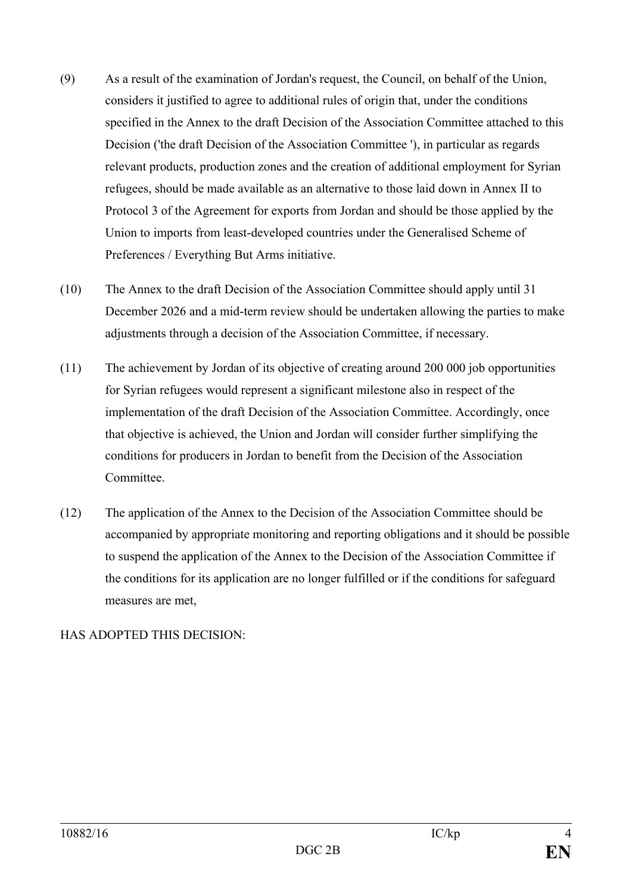- (9) As a result of the examination of Jordan's request, the Council, on behalf of the Union, considers it justified to agree to additional rules of origin that, under the conditions specified in the Annex to the draft Decision of the Association Committee attached to this Decision ('the draft Decision of the Association Committee '), in particular as regards relevant products, production zones and the creation of additional employment for Syrian refugees, should be made available as an alternative to those laid down in Annex II to Protocol 3 of the Agreement for exports from Jordan and should be those applied by the Union to imports from least-developed countries under the Generalised Scheme of Preferences / Everything But Arms initiative.
- (10) The Annex to the draft Decision of the Association Committee should apply until 31 December 2026 and a mid-term review should be undertaken allowing the parties to make adjustments through a decision of the Association Committee, if necessary.
- (11) The achievement by Jordan of its objective of creating around 200 000 job opportunities for Syrian refugees would represent a significant milestone also in respect of the implementation of the draft Decision of the Association Committee. Accordingly, once that objective is achieved, the Union and Jordan will consider further simplifying the conditions for producers in Jordan to benefit from the Decision of the Association Committee.
- (12) The application of the Annex to the Decision of the Association Committee should be accompanied by appropriate monitoring and reporting obligations and it should be possible to suspend the application of the Annex to the Decision of the Association Committee if the conditions for its application are no longer fulfilled or if the conditions for safeguard measures are met,

# HAS ADOPTED THIS DECISION: